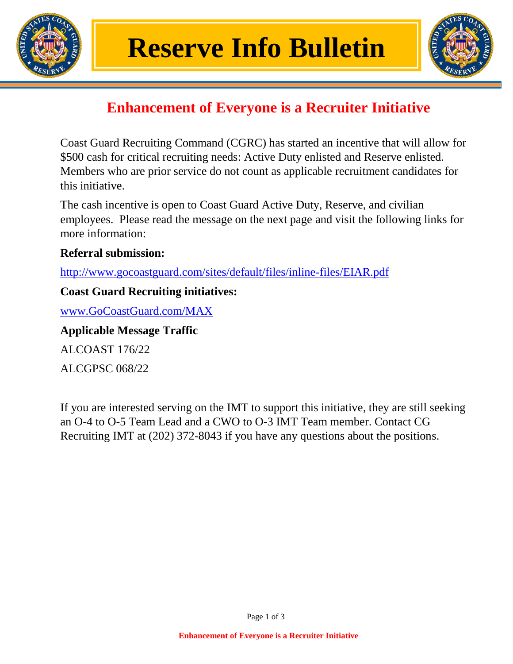



## **Enhancement of Everyone is a Recruiter Initiative**

Coast Guard Recruiting Command (CGRC) has started an incentive that will allow for \$500 cash for critical recruiting needs: Active Duty enlisted and Reserve enlisted. Members who are prior service do not count as applicable recruitment candidates for this initiative.

The cash incentive is open to Coast Guard Active Duty, Reserve, and civilian employees. Please read the message on the next page and visit the following links for more information:

## **Referral submission:**

<http://www.gocoastguard.com/sites/default/files/inline-files/EIAR.pdf>

## **Coast Guard Recruiting initiatives:**

[www.GoCoastGuard.com/MAX](http://www.gocoastguard.com/MAX)

**Applicable Message Traffic** ALCOAST 176/22

ALCGPSC 068/22

If you are interested serving on the IMT to support this initiative, they are still seeking an O-4 to O-5 Team Lead and a CWO to O-3 IMT Team member. Contact CG Recruiting IMT at (202) 372-8043 if you have any questions about the positions.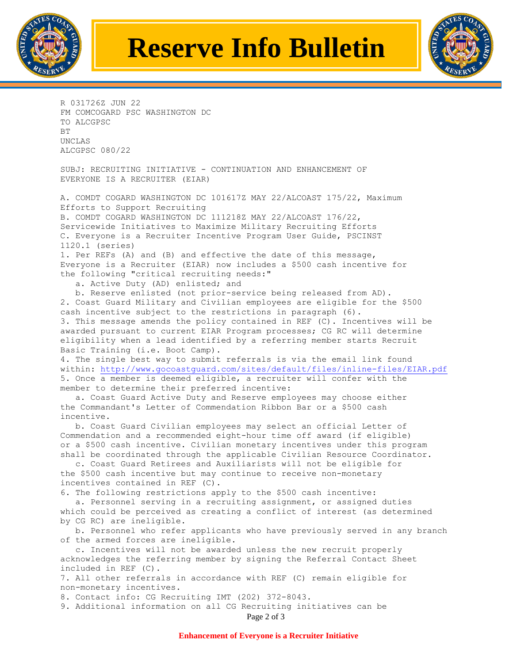

## **Reserve Info Bulletin**



R 031726Z JUN 22 FM COMCOGARD PSC WASHINGTON DC TO ALCGPSC BT UNCLAS ALCGPSC 080/22

SUBJ: RECRUITING INITIATIVE - CONTINUATION AND ENHANCEMENT OF EVERYONE IS A RECRUITER (EIAR)

A. COMDT COGARD WASHINGTON DC 101617Z MAY 22/ALCOAST 175/22, Maximum Efforts to Support Recruiting B. COMDT COGARD WASHINGTON DC 111218Z MAY 22/ALCOAST 176/22, Servicewide Initiatives to Maximize Military Recruiting Efforts C. Everyone is a Recruiter Incentive Program User Guide, PSCINST 1120.1 (series)

1. Per REFs (A) and (B) and effective the date of this message, Everyone is a Recruiter (EIAR) now includes a \$500 cash incentive for the following "critical recruiting needs:"

a. Active Duty (AD) enlisted; and

 b. Reserve enlisted (not prior-service being released from AD). 2. Coast Guard Military and Civilian employees are eligible for the \$500 cash incentive subject to the restrictions in paragraph (6). 3. This message amends the policy contained in REF (C). Incentives will be awarded pursuant to current EIAR Program processes; CG RC will determine eligibility when a lead identified by a referring member starts Recruit Basic Training (i.e. Boot Camp).

4. The single best way to submit referrals is via the email link found within:<http://www.gocoastguard.com/sites/default/files/inline-files/EIAR.pdf> 5. Once a member is deemed eligible, a recruiter will confer with the member to determine their preferred incentive:

 a. Coast Guard Active Duty and Reserve employees may choose either the Commandant's Letter of Commendation Ribbon Bar or a \$500 cash incentive.

 b. Coast Guard Civilian employees may select an official Letter of Commendation and a recommended eight-hour time off award (if eligible) or a \$500 cash incentive. Civilian monetary incentives under this program shall be coordinated through the applicable Civilian Resource Coordinator.

 c. Coast Guard Retirees and Auxiliarists will not be eligible for the \$500 cash incentive but may continue to receive non-monetary incentives contained in REF (C).

6. The following restrictions apply to the \$500 cash incentive:

 a. Personnel serving in a recruiting assignment, or assigned duties which could be perceived as creating a conflict of interest (as determined by CG RC) are ineligible.

 b. Personnel who refer applicants who have previously served in any branch of the armed forces are ineligible.

 c. Incentives will not be awarded unless the new recruit properly acknowledges the referring member by signing the Referral Contact Sheet included in REF (C).

7. All other referrals in accordance with REF (C) remain eligible for non-monetary incentives.

8. Contact info: CG Recruiting IMT (202) 372-8043.

9. Additional information on all CG Recruiting initiatives can be

Page 2 of 3